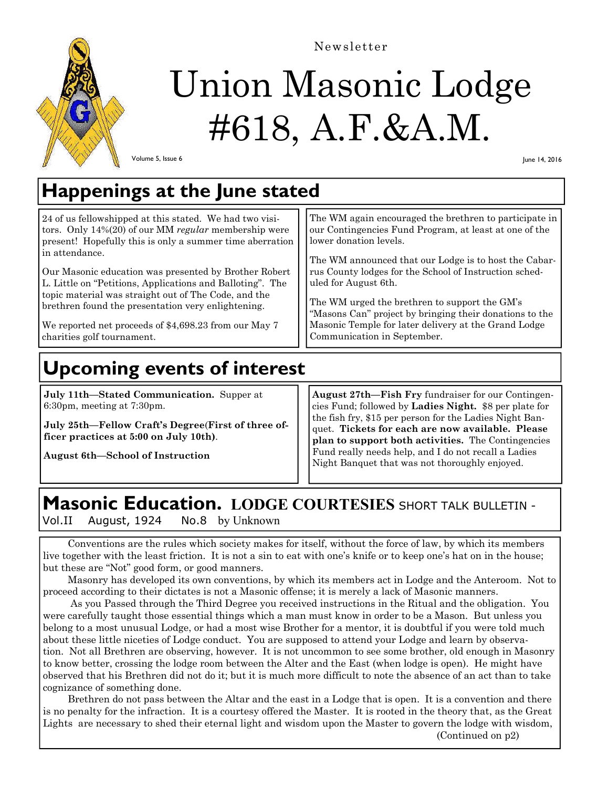

Newsletter

# Union Masonic Lodge #618, A.F.&A.M.

Volume 5, Issue 6

June 14, 2016

## **Happenings at the June stated**

24 of us fellowshipped at this stated. We had two visitors. Only 14%(20) of our MM *regular* membership were present! Hopefully this is only a summer time aberration in attendance.

Our Masonic education was presented by Brother Robert L. Little on "Petitions, Applications and Balloting". The topic material was straight out of The Code, and the brethren found the presentation very enlightening.

We reported net proceeds of \$4,698.23 from our May 7 charities golf tournament.

## **Upcoming events of interest**

**July 11th—Stated Communication.** Supper at 6:30pm, meeting at 7:30pm.

**July 25th—Fellow Craft's Degree**(**First of three officer practices at 5:00 on July 10th)**.

**August 6th—School of Instruction** 

The WM again encouraged the brethren to participate in our Contingencies Fund Program, at least at one of the lower donation levels.

The WM announced that our Lodge is to host the Cabarrus County lodges for the School of Instruction scheduled for August 6th.

The WM urged the brethren to support the GM's "Masons Can" project by bringing their donations to the Masonic Temple for later delivery at the Grand Lodge Communication in September.

**August 27th—Fish Fry** fundraiser for our Contingencies Fund; followed by **Ladies Night.** \$8 per plate for the fish fry, \$15 per person for the Ladies Night Banquet. **Tickets for each are now available. Please plan to support both activities.** The Contingencies Fund really needs help, and I do not recall a Ladies Night Banquet that was not thoroughly enjoyed.

### **Masonic Education. LODGE COURTESIES** SHORT TALK BULLETIN -

Vol.II August, 1924 No.8 by Unknown

 Conventions are the rules which society makes for itself, without the force of law, by which its members live together with the least friction. It is not a sin to eat with one's knife or to keep one's hat on in the house; but these are "Not" good form, or good manners.

 Masonry has developed its own conventions, by which its members act in Lodge and the Anteroom. Not to proceed according to their dictates is not a Masonic offense; it is merely a lack of Masonic manners.

 As you Passed through the Third Degree you received instructions in the Ritual and the obligation. You were carefully taught those essential things which a man must know in order to be a Mason. But unless you belong to a most unusual Lodge, or had a most wise Brother for a mentor, it is doubtful if you were told much about these little niceties of Lodge conduct. You are supposed to attend your Lodge and learn by observation. Not all Brethren are observing, however. It is not uncommon to see some brother, old enough in Masonry to know better, crossing the lodge room between the Alter and the East (when lodge is open). He might have observed that his Brethren did not do it; but it is much more difficult to note the absence of an act than to take cognizance of something done.

 Brethren do not pass between the Altar and the east in a Lodge that is open. It is a convention and there is no penalty for the infraction. It is a courtesy offered the Master. It is rooted in the theory that, as the Great Lights are necessary to shed their eternal light and wisdom upon the Master to govern the lodge with wisdom,

(Continued on p2)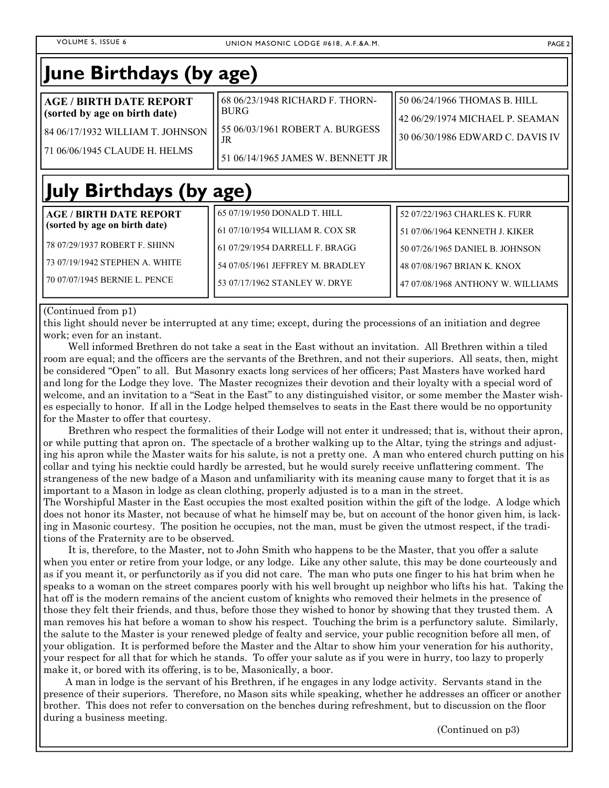| June Birthdays (by age)                                                                                                                                             |                                                                                                                                                                        |                                                                                                                                                                        |
|---------------------------------------------------------------------------------------------------------------------------------------------------------------------|------------------------------------------------------------------------------------------------------------------------------------------------------------------------|------------------------------------------------------------------------------------------------------------------------------------------------------------------------|
| <b>AGE / BIRTH DATE REPORT</b><br>(sorted by age on birth date)<br>84 06/17/1932 WILLIAM T. JOHNSON<br>71 06/06/1945 CLAUDE H. HELMS                                | 68 06/23/1948 RICHARD F. THORN-<br><b>BURG</b><br>55 06/03/1961 ROBERT A. BURGESS<br>JR<br>51 06/14/1965 JAMES W. BENNETT JR                                           | 50 06/24/1966 THOMAS B. HILL<br>42 06/29/1974 MICHAEL P. SEAMAN<br>30 06/30/1986 EDWARD C. DAVIS IV                                                                    |
| July Birthdays (by age)                                                                                                                                             |                                                                                                                                                                        |                                                                                                                                                                        |
| <b>AGE / BIRTH DATE REPORT</b><br>(sorted by age on birth date)<br>78 07/29/1937 ROBERT F. SHINN<br>73 07/19/1942 STEPHEN A. WHITE<br>70 07/07/1945 BERNIE L. PENCE | 65 07/19/1950 DONALD T. HILL<br>61 07/10/1954 WILLIAM R. COX SR<br>61 07/29/1954 DARRELL F. BRAGG<br>54 07/05/1961 JEFFREY M. BRADLEY<br>53 07/17/1962 STANLEY W. DRYE | 52 07/22/1963 CHARLES K. FURR<br>51 07/06/1964 KENNETH J. KIKER<br>50 07/26/1965 DANIEL B. JOHNSON<br>48 07/08/1967 BRIAN K. KNOX<br>47 07/08/1968 ANTHONY W. WILLIAMS |

(Continued from p1)

this light should never be interrupted at any time; except, during the processions of an initiation and degree work; even for an instant.

 Well informed Brethren do not take a seat in the East without an invitation. All Brethren within a tiled room are equal; and the officers are the servants of the Brethren, and not their superiors. All seats, then, might be considered "Open" to all. But Masonry exacts long services of her officers; Past Masters have worked hard and long for the Lodge they love. The Master recognizes their devotion and their loyalty with a special word of welcome, and an invitation to a "Seat in the East" to any distinguished visitor, or some member the Master wishes especially to honor. If all in the Lodge helped themselves to seats in the East there would be no opportunity for the Master to offer that courtesy.

 Brethren who respect the formalities of their Lodge will not enter it undressed; that is, without their apron, or while putting that apron on. The spectacle of a brother walking up to the Altar, tying the strings and adjusting his apron while the Master waits for his salute, is not a pretty one. A man who entered church putting on his collar and tying his necktie could hardly be arrested, but he would surely receive unflattering comment. The strangeness of the new badge of a Mason and unfamiliarity with its meaning cause many to forget that it is as important to a Mason in lodge as clean clothing, properly adjusted is to a man in the street.

The Worshipful Master in the East occupies the most exalted position within the gift of the lodge. A lodge which does not honor its Master, not because of what he himself may be, but on account of the honor given him, is lacking in Masonic courtesy. The position he occupies, not the man, must be given the utmost respect, if the traditions of the Fraternity are to be observed.

 It is, therefore, to the Master, not to John Smith who happens to be the Master, that you offer a salute when you enter or retire from your lodge, or any lodge. Like any other salute, this may be done courteously and as if you meant it, or perfunctorily as if you did not care. The man who puts one finger to his hat brim when he speaks to a woman on the street compares poorly with his well brought up neighbor who lifts his hat. Taking the hat off is the modern remains of the ancient custom of knights who removed their helmets in the presence of those they felt their friends, and thus, before those they wished to honor by showing that they trusted them. A man removes his hat before a woman to show his respect. Touching the brim is a perfunctory salute. Similarly, the salute to the Master is your renewed pledge of fealty and service, your public recognition before all men, of your obligation. It is performed before the Master and the Altar to show him your veneration for his authority, your respect for all that for which he stands. To offer your salute as if you were in hurry, too lazy to properly make it, or bored with its offering, is to be, Masonically, a boor.

 A man in lodge is the servant of his Brethren, if he engages in any lodge activity. Servants stand in the presence of their superiors. Therefore, no Mason sits while speaking, whether he addresses an officer or another brother. This does not refer to conversation on the benches during refreshment, but to discussion on the floor during a business meeting.

(Continued on p3)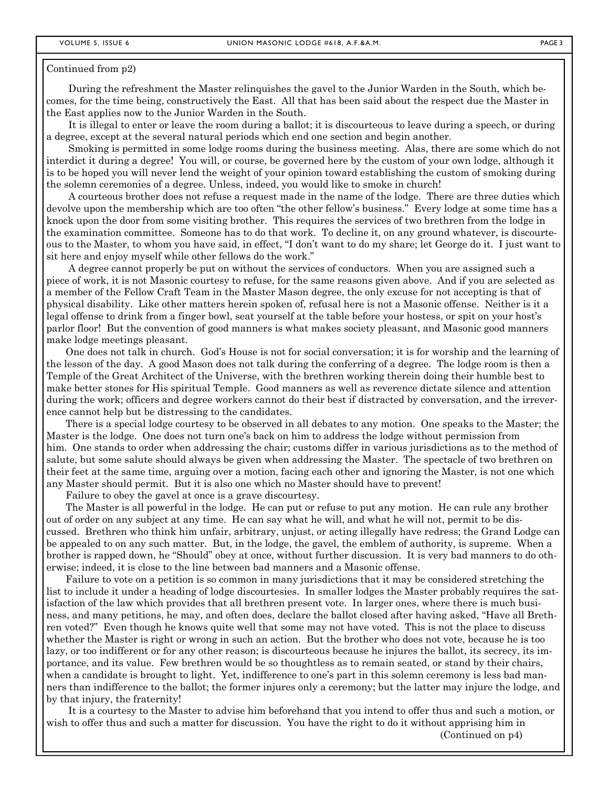#### Continued from p2)

 During the refreshment the Master relinquishes the gavel to the Junior Warden in the South, which becomes, for the time being, constructively the East. All that has been said about the respect due the Master in the East applies now to the Junior Warden in the South.

 It is illegal to enter or leave the room during a ballot; it is discourteous to leave during a speech, or during a degree, except at the several natural periods which end one section and begin another.

 Smoking is permitted in some lodge rooms during the business meeting. Alas, there are some which do not interdict it during a degree! You will, or course, be governed here by the custom of your own lodge, although it is to be hoped you will never lend the weight of your opinion toward establishing the custom of smoking during the solemn ceremonies of a degree. Unless, indeed, you would like to smoke in church!

 A courteous brother does not refuse a request made in the name of the lodge. There are three duties which devolve upon the membership which are too often "the other fellow's business." Every lodge at some time has a knock upon the door from some visiting brother. This requires the services of two brethren from the lodge in the examination committee. Someone has to do that work. To decline it, on any ground whatever, is discourteous to the Master, to whom you have said, in effect, "I don't want to do my share; let George do it. I just want to sit here and enjoy myself while other fellows do the work."

 A degree cannot properly be put on without the services of conductors. When you are assigned such a piece of work, it is not Masonic courtesy to refuse, for the same reasons given above. And if you are selected as a member of the Fellow Craft Team in the Master Mason degree, the only excuse for not accepting is that of physical disability. Like other matters herein spoken of, refusal here is not a Masonic offense. Neither is it a legal offense to drink from a finger bowl, seat yourself at the table before your hostess, or spit on your host's parlor floor! But the convention of good manners is what makes society pleasant, and Masonic good manners make lodge meetings pleasant.

 One does not talk in church. God's House is not for social conversation; it is for worship and the learning of the lesson of the day. A good Mason does not talk during the conferring of a degree. The lodge room is then a Temple of the Great Architect of the Universe, with the brethren working therein doing their humble best to make better stones for His spiritual Temple. Good manners as well as reverence dictate silence and attention during the work; officers and degree workers cannot do their best if distracted by conversation, and the irreverence cannot help but be distressing to the candidates.

 There is a special lodge courtesy to be observed in all debates to any motion. One speaks to the Master; the Master is the lodge. One does not turn one's back on him to address the lodge without permission from him. One stands to order when addressing the chair; customs differ in various jurisdictions as to the method of salute, but some salute should always be given when addressing the Master. The spectacle of two brethren on their feet at the same time, arguing over a motion, facing each other and ignoring the Master, is not one which any Master should permit. But it is also one which no Master should have to prevent!

Failure to obey the gavel at once is a grave discourtesy.

 The Master is all powerful in the lodge. He can put or refuse to put any motion. He can rule any brother out of order on any subject at any time. He can say what he will, and what he will not, permit to be discussed. Brethren who think him unfair, arbitrary, unjust, or acting illegally have redress; the Grand Lodge can be appealed to on any such matter. But, in the lodge, the gavel, the emblem of authority, is supreme. When a brother is rapped down, he "Should" obey at once, without further discussion. It is very bad manners to do otherwise; indeed, it is close to the line between bad manners and a Masonic offense.

 Failure to vote on a petition is so common in many jurisdictions that it may be considered stretching the list to include it under a heading of lodge discourtesies. In smaller lodges the Master probably requires the satisfaction of the law which provides that all brethren present vote. In larger ones, where there is much business, and many petitions, he may, and often does, declare the ballot closed after having asked, "Have all Brethren voted?" Even though he knows quite well that some may not have voted. This is not the place to discuss whether the Master is right or wrong in such an action. But the brother who does not vote, because he is too lazy, or too indifferent or for any other reason; is discourteous because he injures the ballot, its secrecy, its importance, and its value. Few brethren would be so thoughtless as to remain seated, or stand by their chairs, when a candidate is brought to light. Yet, indifference to one's part in this solemn ceremony is less bad manners than indifference to the ballot; the former injures only a ceremony; but the latter may injure the lodge, and by that injury, the fraternity!

 It is a courtesy to the Master to advise him beforehand that you intend to offer thus and such a motion, or wish to offer thus and such a matter for discussion. You have the right to do it without apprising him in (Continued on p4)